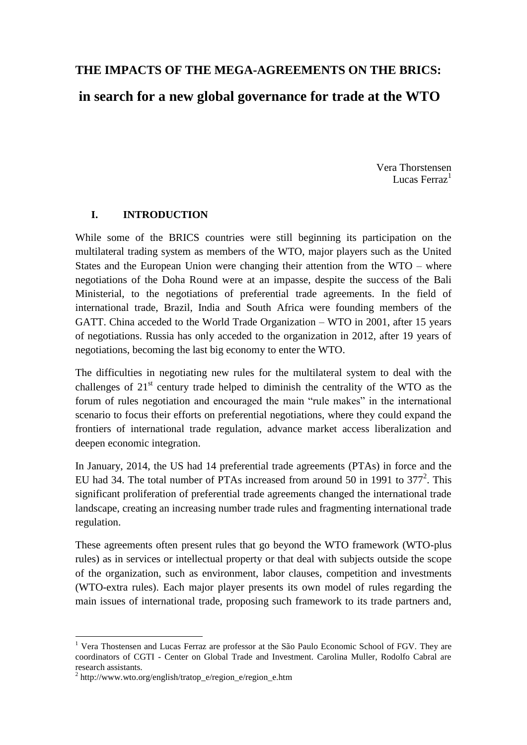# **THE IMPACTS OF THE MEGA-AGREEMENTS ON THE BRICS: in search for a new global governance for trade at the WTO**

Vera Thorstensen Lucas Ferraz<sup>1</sup>

#### **I. INTRODUCTION**

While some of the BRICS countries were still beginning its participation on the multilateral trading system as members of the WTO, major players such as the United States and the European Union were changing their attention from the WTO – where negotiations of the Doha Round were at an impasse, despite the success of the Bali Ministerial, to the negotiations of preferential trade agreements. In the field of international trade, Brazil, India and South Africa were founding members of the GATT. China acceded to the World Trade Organization – WTO in 2001, after 15 years of negotiations. Russia has only acceded to the organization in 2012, after 19 years of negotiations, becoming the last big economy to enter the WTO.

The difficulties in negotiating new rules for the multilateral system to deal with the challenges of  $21<sup>st</sup>$  century trade helped to diminish the centrality of the WTO as the forum of rules negotiation and encouraged the main "rule makes" in the international scenario to focus their efforts on preferential negotiations, where they could expand the frontiers of international trade regulation, advance market access liberalization and deepen economic integration.

In January, 2014, the US had 14 preferential trade agreements (PTAs) in force and the EU had 34. The total number of PTAs increased from around 50 in 1991 to  $377^2$ . This significant proliferation of preferential trade agreements changed the international trade landscape, creating an increasing number trade rules and fragmenting international trade regulation.

These agreements often present rules that go beyond the WTO framework (WTO-plus rules) as in services or intellectual property or that deal with subjects outside the scope of the organization, such as environment, labor clauses, competition and investments (WTO-extra rules). Each major player presents its own model of rules regarding the main issues of international trade, proposing such framework to its trade partners and,

1

<sup>&</sup>lt;sup>1</sup> Vera Thostensen and Lucas Ferraz are professor at the São Paulo Economic School of FGV. They are coordinators of CGTI - Center on Global Trade and Investment. Carolina Muller, Rodolfo Cabral are research assistants.

<sup>&</sup>lt;sup>2</sup> http://www.wto.org/english/tratop\_e/region\_e/region\_e.htm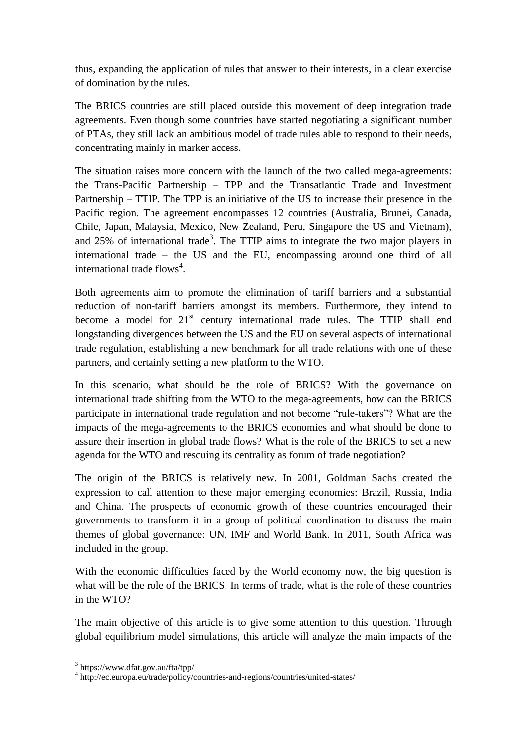thus, expanding the application of rules that answer to their interests, in a clear exercise of domination by the rules.

The BRICS countries are still placed outside this movement of deep integration trade agreements. Even though some countries have started negotiating a significant number of PTAs, they still lack an ambitious model of trade rules able to respond to their needs, concentrating mainly in marker access.

The situation raises more concern with the launch of the two called mega-agreements: the Trans-Pacific Partnership – TPP and the Transatlantic Trade and Investment Partnership – TTIP. The TPP is an initiative of the US to increase their presence in the Pacific region. The agreement encompasses 12 countries (Australia, Brunei, Canada, Chile, Japan, Malaysia, Mexico, New Zealand, Peru, Singapore the US and Vietnam), and  $25\%$  of international trade<sup>3</sup>. The TTIP aims to integrate the two major players in international trade – the US and the EU, encompassing around one third of all international trade flows<sup>4</sup>.

Both agreements aim to promote the elimination of tariff barriers and a substantial reduction of non-tariff barriers amongst its members. Furthermore, they intend to become a model for  $21<sup>st</sup>$  century international trade rules. The TTIP shall end longstanding divergences between the US and the EU on several aspects of international trade regulation, establishing a new benchmark for all trade relations with one of these partners, and certainly setting a new platform to the WTO.

In this scenario, what should be the role of BRICS? With the governance on international trade shifting from the WTO to the mega-agreements, how can the BRICS participate in international trade regulation and not become "rule-takers"? What are the impacts of the mega-agreements to the BRICS economies and what should be done to assure their insertion in global trade flows? What is the role of the BRICS to set a new agenda for the WTO and rescuing its centrality as forum of trade negotiation?

The origin of the BRICS is relatively new. In 2001, Goldman Sachs created the expression to call attention to these major emerging economies: Brazil, Russia, India and China. The prospects of economic growth of these countries encouraged their governments to transform it in a group of political coordination to discuss the main themes of global governance: UN, IMF and World Bank. In 2011, South Africa was included in the group.

With the economic difficulties faced by the World economy now, the big question is what will be the role of the BRICS. In terms of trade, what is the role of these countries in the WTO?

The main objective of this article is to give some attention to this question. Through global equilibrium model simulations, this article will analyze the main impacts of the

<u>.</u>

<sup>3</sup> https://www.dfat.gov.au/fta/tpp/

<sup>4</sup> http://ec.europa.eu/trade/policy/countries-and-regions/countries/united-states/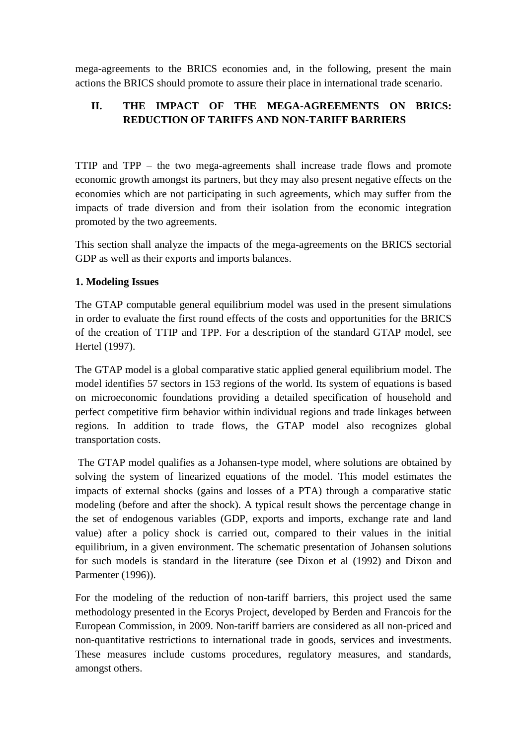mega-agreements to the BRICS economies and, in the following, present the main actions the BRICS should promote to assure their place in international trade scenario.

# **II. THE IMPACT OF THE MEGA-AGREEMENTS ON BRICS: REDUCTION OF TARIFFS AND NON-TARIFF BARRIERS**

TTIP and TPP – the two mega-agreements shall increase trade flows and promote economic growth amongst its partners, but they may also present negative effects on the economies which are not participating in such agreements, which may suffer from the impacts of trade diversion and from their isolation from the economic integration promoted by the two agreements.

This section shall analyze the impacts of the mega-agreements on the BRICS sectorial GDP as well as their exports and imports balances.

### **1. Modeling Issues**

The GTAP computable general equilibrium model was used in the present simulations in order to evaluate the first round effects of the costs and opportunities for the BRICS of the creation of TTIP and TPP. For a description of the standard GTAP model, see Hertel (1997).

The GTAP model is a global comparative static applied general equilibrium model. The model identifies 57 sectors in 153 regions of the world. Its system of equations is based on microeconomic foundations providing a detailed specification of household and perfect competitive firm behavior within individual regions and trade linkages between regions. In addition to trade flows, the GTAP model also recognizes global transportation costs.

The GTAP model qualifies as a Johansen-type model, where solutions are obtained by solving the system of linearized equations of the model. This model estimates the impacts of external shocks (gains and losses of a PTA) through a comparative static modeling (before and after the shock). A typical result shows the percentage change in the set of endogenous variables (GDP, exports and imports, exchange rate and land value) after a policy shock is carried out, compared to their values in the initial equilibrium, in a given environment. The schematic presentation of Johansen solutions for such models is standard in the literature (see Dixon et al (1992) and Dixon and Parmenter (1996)).

For the modeling of the reduction of non-tariff barriers, this project used the same methodology presented in the Ecorys Project, developed by Berden and Francois for the European Commission, in 2009. Non-tariff barriers are considered as all non-priced and non-quantitative restrictions to international trade in goods, services and investments. These measures include customs procedures, regulatory measures, and standards, amongst others.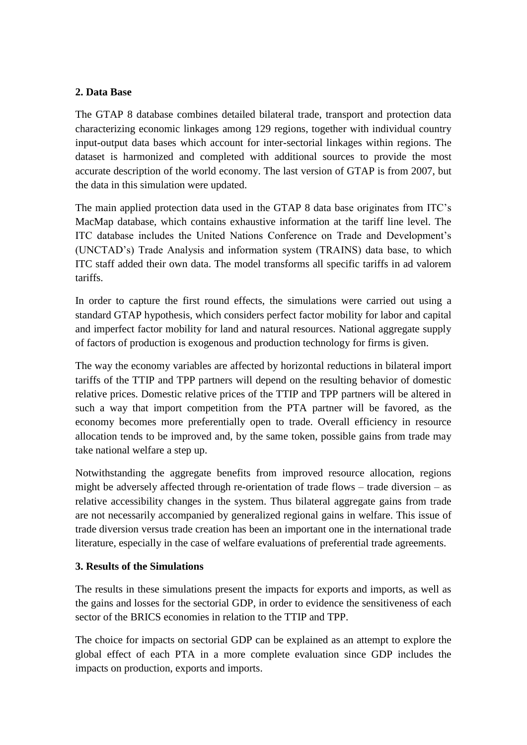#### **2. Data Base**

The GTAP 8 database combines detailed bilateral trade, transport and protection data characterizing economic linkages among 129 regions, together with individual country input-output data bases which account for inter-sectorial linkages within regions. The dataset is harmonized and completed with additional sources to provide the most accurate description of the world economy. The last version of GTAP is from 2007, but the data in this simulation were updated.

The main applied protection data used in the GTAP 8 data base originates from ITC's MacMap database, which contains exhaustive information at the tariff line level. The ITC database includes the United Nations Conference on Trade and Development's (UNCTAD's) Trade Analysis and information system (TRAINS) data base, to which ITC staff added their own data. The model transforms all specific tariffs in ad valorem tariffs.

In order to capture the first round effects, the simulations were carried out using a standard GTAP hypothesis, which considers perfect factor mobility for labor and capital and imperfect factor mobility for land and natural resources. National aggregate supply of factors of production is exogenous and production technology for firms is given.

The way the economy variables are affected by horizontal reductions in bilateral import tariffs of the TTIP and TPP partners will depend on the resulting behavior of domestic relative prices. Domestic relative prices of the TTIP and TPP partners will be altered in such a way that import competition from the PTA partner will be favored, as the economy becomes more preferentially open to trade. Overall efficiency in resource allocation tends to be improved and, by the same token, possible gains from trade may take national welfare a step up.

Notwithstanding the aggregate benefits from improved resource allocation, regions might be adversely affected through re-orientation of trade flows – trade diversion – as relative accessibility changes in the system. Thus bilateral aggregate gains from trade are not necessarily accompanied by generalized regional gains in welfare. This issue of trade diversion versus trade creation has been an important one in the international trade literature, especially in the case of welfare evaluations of preferential trade agreements.

#### **3. Results of the Simulations**

The results in these simulations present the impacts for exports and imports, as well as the gains and losses for the sectorial GDP, in order to evidence the sensitiveness of each sector of the BRICS economies in relation to the TTIP and TPP.

The choice for impacts on sectorial GDP can be explained as an attempt to explore the global effect of each PTA in a more complete evaluation since GDP includes the impacts on production, exports and imports.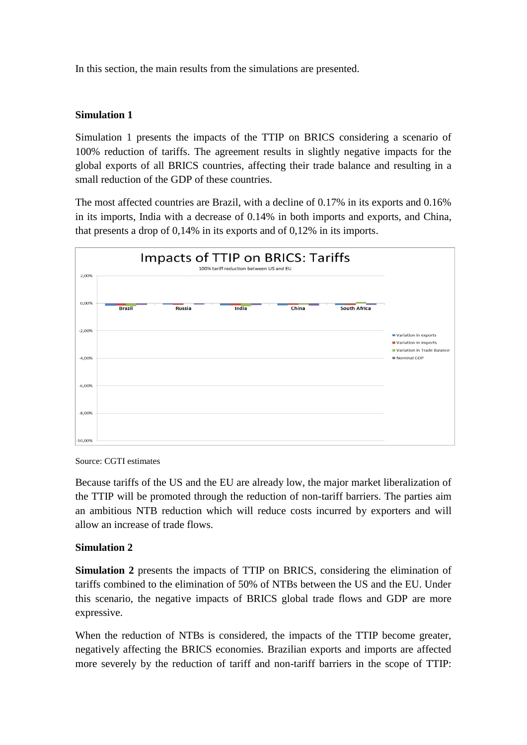In this section, the main results from the simulations are presented.

### **Simulation 1**

Simulation 1 presents the impacts of the TTIP on BRICS considering a scenario of 100% reduction of tariffs. The agreement results in slightly negative impacts for the global exports of all BRICS countries, affecting their trade balance and resulting in a small reduction of the GDP of these countries.

The most affected countries are Brazil, with a decline of 0.17% in its exports and 0.16% in its imports, India with a decrease of 0.14% in both imports and exports, and China, that presents a drop of 0,14% in its exports and of 0,12% in its imports.



Source: CGTI estimates

Because tariffs of the US and the EU are already low, the major market liberalization of the TTIP will be promoted through the reduction of non-tariff barriers. The parties aim an ambitious NTB reduction which will reduce costs incurred by exporters and will allow an increase of trade flows.

#### **Simulation 2**

**Simulation 2** presents the impacts of TTIP on BRICS, considering the elimination of tariffs combined to the elimination of 50% of NTBs between the US and the EU. Under this scenario, the negative impacts of BRICS global trade flows and GDP are more expressive.

When the reduction of NTBs is considered, the impacts of the TTIP become greater, negatively affecting the BRICS economies. Brazilian exports and imports are affected more severely by the reduction of tariff and non-tariff barriers in the scope of TTIP: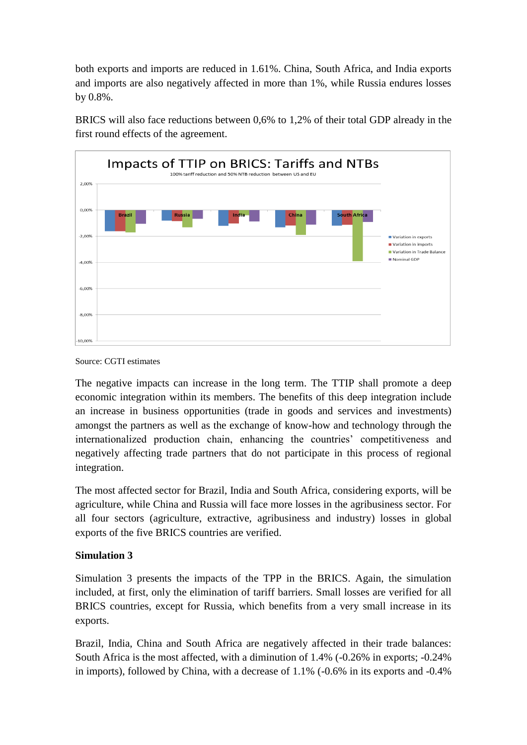both exports and imports are reduced in 1.61%. China, South Africa, and India exports and imports are also negatively affected in more than 1%, while Russia endures losses by 0.8%.

BRICS will also face reductions between 0,6% to 1,2% of their total GDP already in the first round effects of the agreement.



Source: CGTI estimates

The negative impacts can increase in the long term. The TTIP shall promote a deep economic integration within its members. The benefits of this deep integration include an increase in business opportunities (trade in goods and services and investments) amongst the partners as well as the exchange of know-how and technology through the internationalized production chain, enhancing the countries' competitiveness and negatively affecting trade partners that do not participate in this process of regional integration.

The most affected sector for Brazil, India and South Africa, considering exports, will be agriculture, while China and Russia will face more losses in the agribusiness sector. For all four sectors (agriculture, extractive, agribusiness and industry) losses in global exports of the five BRICS countries are verified.

### **Simulation 3**

Simulation 3 presents the impacts of the TPP in the BRICS. Again, the simulation included, at first, only the elimination of tariff barriers. Small losses are verified for all BRICS countries, except for Russia, which benefits from a very small increase in its exports.

Brazil, India, China and South Africa are negatively affected in their trade balances: South Africa is the most affected, with a diminution of 1.4% (-0.26% in exports; -0.24% in imports), followed by China, with a decrease of 1.1% (-0.6% in its exports and -0.4%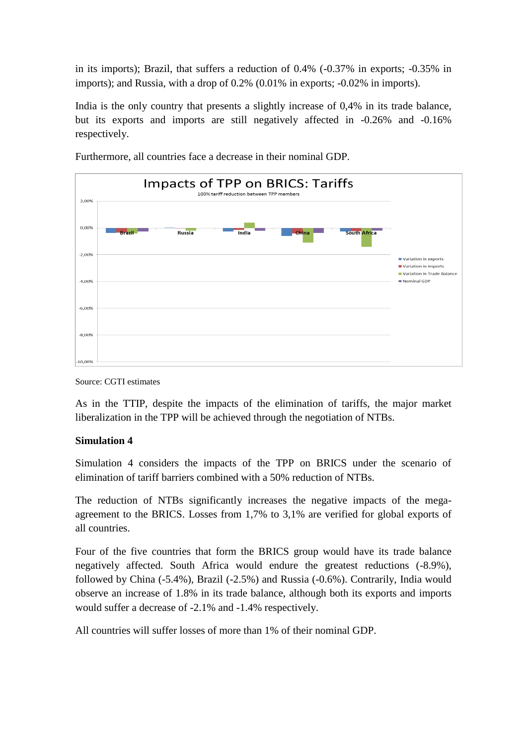in its imports); Brazil, that suffers a reduction of 0.4% (-0.37% in exports; -0.35% in imports); and Russia, with a drop of 0.2% (0.01% in exports; -0.02% in imports).

India is the only country that presents a slightly increase of 0,4% in its trade balance, but its exports and imports are still negatively affected in -0.26% and -0.16% respectively.



Furthermore, all countries face a decrease in their nominal GDP.

Source: CGTI estimates

As in the TTIP, despite the impacts of the elimination of tariffs, the major market liberalization in the TPP will be achieved through the negotiation of NTBs.

#### **Simulation 4**

Simulation 4 considers the impacts of the TPP on BRICS under the scenario of elimination of tariff barriers combined with a 50% reduction of NTBs.

The reduction of NTBs significantly increases the negative impacts of the megaagreement to the BRICS. Losses from 1,7% to 3,1% are verified for global exports of all countries.

Four of the five countries that form the BRICS group would have its trade balance negatively affected. South Africa would endure the greatest reductions (-8.9%), followed by China (-5.4%), Brazil (-2.5%) and Russia (-0.6%). Contrarily, India would observe an increase of 1.8% in its trade balance, although both its exports and imports would suffer a decrease of -2.1% and -1.4% respectively.

All countries will suffer losses of more than 1% of their nominal GDP.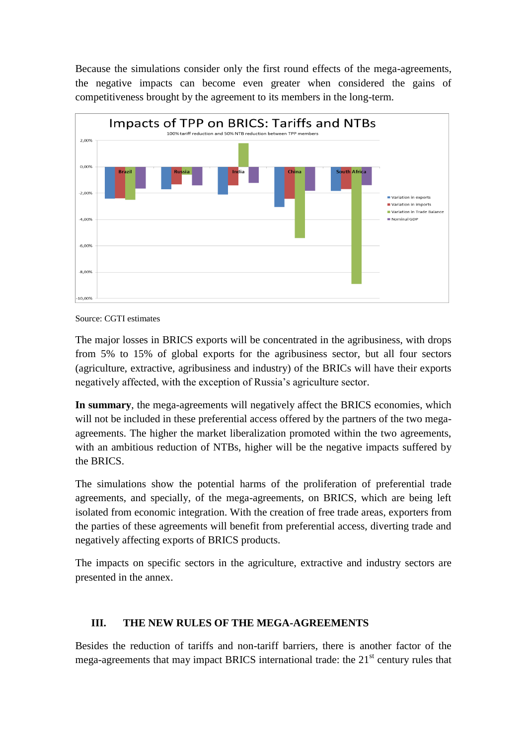Because the simulations consider only the first round effects of the mega-agreements, the negative impacts can become even greater when considered the gains of competitiveness brought by the agreement to its members in the long-term.



Source: CGTI estimates

The major losses in BRICS exports will be concentrated in the agribusiness, with drops from 5% to 15% of global exports for the agribusiness sector, but all four sectors (agriculture, extractive, agribusiness and industry) of the BRICs will have their exports negatively affected, with the exception of Russia's agriculture sector.

**In summary**, the mega-agreements will negatively affect the BRICS economies, which will not be included in these preferential access offered by the partners of the two megaagreements. The higher the market liberalization promoted within the two agreements, with an ambitious reduction of NTBs, higher will be the negative impacts suffered by the BRICS.

The simulations show the potential harms of the proliferation of preferential trade agreements, and specially, of the mega-agreements, on BRICS, which are being left isolated from economic integration. With the creation of free trade areas, exporters from the parties of these agreements will benefit from preferential access, diverting trade and negatively affecting exports of BRICS products.

The impacts on specific sectors in the agriculture, extractive and industry sectors are presented in the annex.

### **III. THE NEW RULES OF THE MEGA-AGREEMENTS**

Besides the reduction of tariffs and non-tariff barriers, there is another factor of the mega-agreements that may impact BRICS international trade: the  $21<sup>st</sup>$  century rules that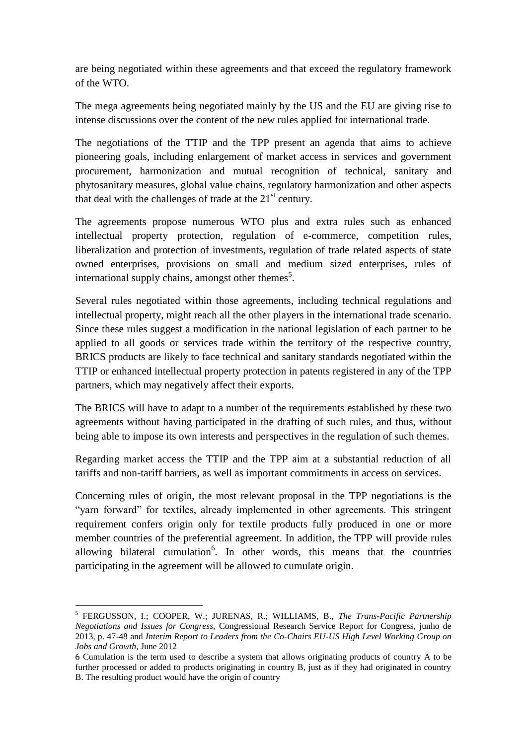are being negotiated within these agreements and that exceed the regulatory framework of the WTO.

The mega agreements being negotiated mainly by the US and the EU are giving rise to intense discussions over the content of the new rules applied for international trade.

The negotiations of the TTIP and the TPP present an agenda that aims to achieve pioneering goals, including enlargement of market access in services and government procurement, harmonization and mutual recognition of technical, sanitary and phytosanitary measures, global value chains, regulatory harmonization and other aspects that deal with the challenges of trade at the  $21<sup>st</sup>$  century.

The agreements propose numerous WTO plus and extra rules such as enhanced intellectual property protection, regulation of e-commerce, competition rules, liberalization and protection of investments, regulation of trade related aspects of state owned enterprises, provisions on small and medium sized enterprises, rules of international supply chains, amongst other themes<sup>5</sup>.

Several rules negotiated within those agreements, including technical regulations and intellectual property, might reach all the other players in the international trade scenario. Since these rules suggest a modification in the national legislation of each partner to be applied to all goods or services trade within the territory of the respective country, BRICS products are likely to face technical and sanitary standards negotiated within the TTIP or enhanced intellectual property protection in patents registered in any of the TPP partners, which may negatively affect their exports.

The BRICS will have to adapt to a number of the requirements established by these two agreements without having participated in the drafting of such rules, and thus, without being able to impose its own interests and perspectives in the regulation of such themes.

Regarding market access the TTIP and the TPP aim at a substantial reduction of all tariffs and non-tariff barriers, as well as important commitments in access on services.

Concerning rules of origin, the most relevant proposal in the TPP negotiations is the "yarn forward" for textiles, already implemented in other agreements. This stringent requirement confers origin only for textile products fully produced in one or more member countries of the preferential agreement. In addition, the TPP will provide rules allowing bilateral cumulation<sup>6</sup>. In other words, this means that the countries participating in the agreement will be allowed to cumulate origin.

 5 FERGUSSON, I.; COOPER, W.; JURENAS, R.; WILLIAMS, B., *The Trans-Pacific Partnership Negotiations and Issues for Congress,* Congressional Research Service Report for Congress, junho de 2013, p. 47-48 and *Interim Report to Leaders from the Co-Chairs EU-US High Level Working Group on Jobs and Growth*, June 2012

<sup>6</sup> Cumulation is the term used to describe a system that allows originating products of country A to be further processed or added to products originating in country B, just as if they had originated in country B. The resulting product would have the origin of country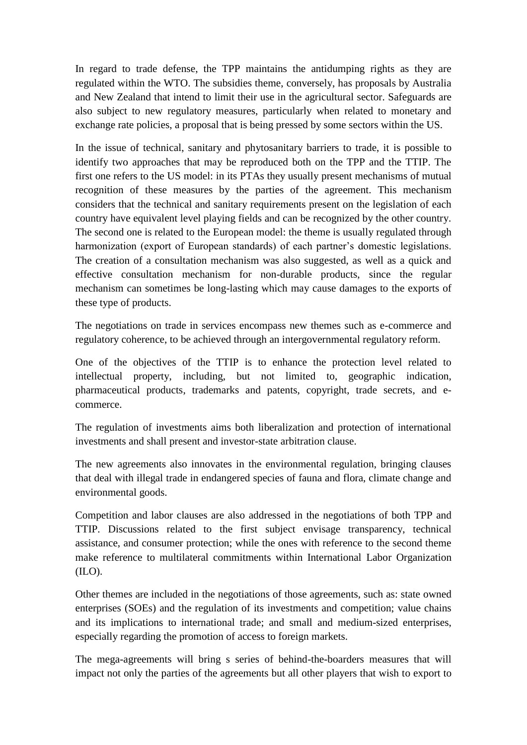In regard to trade defense, the TPP maintains the antidumping rights as they are regulated within the WTO. The subsidies theme, conversely, has proposals by Australia and New Zealand that intend to limit their use in the agricultural sector. Safeguards are also subject to new regulatory measures, particularly when related to monetary and exchange rate policies, a proposal that is being pressed by some sectors within the US.

In the issue of technical, sanitary and phytosanitary barriers to trade, it is possible to identify two approaches that may be reproduced both on the TPP and the TTIP. The first one refers to the US model: in its PTAs they usually present mechanisms of mutual recognition of these measures by the parties of the agreement. This mechanism considers that the technical and sanitary requirements present on the legislation of each country have equivalent level playing fields and can be recognized by the other country. The second one is related to the European model: the theme is usually regulated through harmonization (export of European standards) of each partner's domestic legislations. The creation of a consultation mechanism was also suggested, as well as a quick and effective consultation mechanism for non-durable products, since the regular mechanism can sometimes be long-lasting which may cause damages to the exports of these type of products.

The negotiations on trade in services encompass new themes such as e-commerce and regulatory coherence, to be achieved through an intergovernmental regulatory reform.

One of the objectives of the TTIP is to enhance the protection level related to intellectual property, including, but not limited to, geographic indication, pharmaceutical products, trademarks and patents, copyright, trade secrets, and ecommerce.

The regulation of investments aims both liberalization and protection of international investments and shall present and investor-state arbitration clause.

The new agreements also innovates in the environmental regulation, bringing clauses that deal with illegal trade in endangered species of fauna and flora, climate change and environmental goods.

Competition and labor clauses are also addressed in the negotiations of both TPP and TTIP. Discussions related to the first subject envisage transparency, technical assistance, and consumer protection; while the ones with reference to the second theme make reference to multilateral commitments within International Labor Organization (ILO).

Other themes are included in the negotiations of those agreements, such as: state owned enterprises (SOEs) and the regulation of its investments and competition; value chains and its implications to international trade; and small and medium-sized enterprises, especially regarding the promotion of access to foreign markets.

The mega-agreements will bring s series of behind-the-boarders measures that will impact not only the parties of the agreements but all other players that wish to export to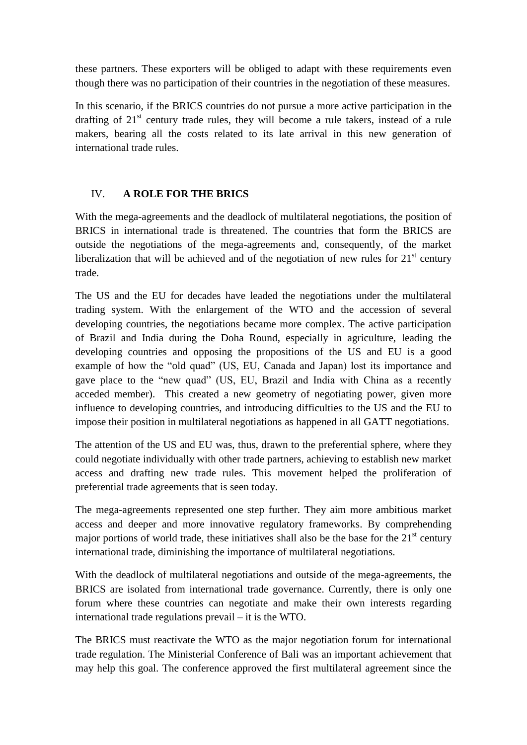these partners. These exporters will be obliged to adapt with these requirements even though there was no participation of their countries in the negotiation of these measures.

In this scenario, if the BRICS countries do not pursue a more active participation in the drafting of  $21<sup>st</sup>$  century trade rules, they will become a rule takers, instead of a rule makers, bearing all the costs related to its late arrival in this new generation of international trade rules.

### IV. **A ROLE FOR THE BRICS**

With the mega-agreements and the deadlock of multilateral negotiations, the position of BRICS in international trade is threatened. The countries that form the BRICS are outside the negotiations of the mega-agreements and, consequently, of the market liberalization that will be achieved and of the negotiation of new rules for  $21<sup>st</sup>$  century trade.

The US and the EU for decades have leaded the negotiations under the multilateral trading system. With the enlargement of the WTO and the accession of several developing countries, the negotiations became more complex. The active participation of Brazil and India during the Doha Round, especially in agriculture, leading the developing countries and opposing the propositions of the US and EU is a good example of how the "old quad" (US, EU, Canada and Japan) lost its importance and gave place to the "new quad" (US, EU, Brazil and India with China as a recently acceded member). This created a new geometry of negotiating power, given more influence to developing countries, and introducing difficulties to the US and the EU to impose their position in multilateral negotiations as happened in all GATT negotiations.

The attention of the US and EU was, thus, drawn to the preferential sphere, where they could negotiate individually with other trade partners, achieving to establish new market access and drafting new trade rules. This movement helped the proliferation of preferential trade agreements that is seen today.

The mega-agreements represented one step further. They aim more ambitious market access and deeper and more innovative regulatory frameworks. By comprehending major portions of world trade, these initiatives shall also be the base for the  $21<sup>st</sup>$  century international trade, diminishing the importance of multilateral negotiations.

With the deadlock of multilateral negotiations and outside of the mega-agreements, the BRICS are isolated from international trade governance. Currently, there is only one forum where these countries can negotiate and make their own interests regarding international trade regulations prevail – it is the WTO.

The BRICS must reactivate the WTO as the major negotiation forum for international trade regulation. The Ministerial Conference of Bali was an important achievement that may help this goal. The conference approved the first multilateral agreement since the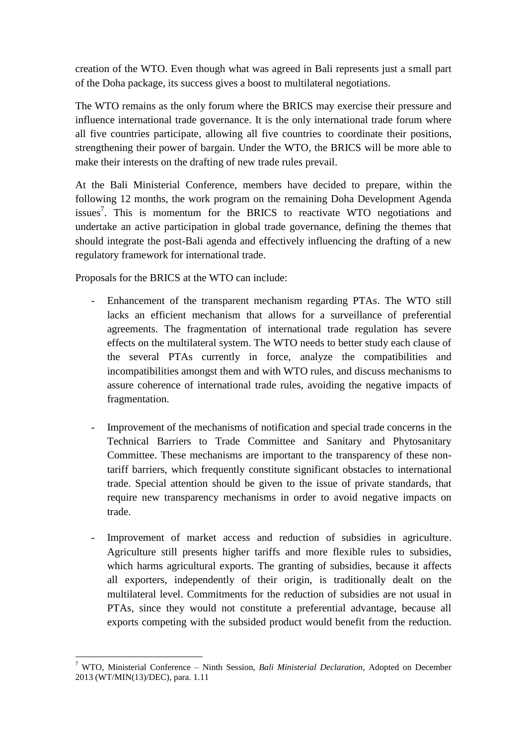creation of the WTO. Even though what was agreed in Bali represents just a small part of the Doha package, its success gives a boost to multilateral negotiations.

The WTO remains as the only forum where the BRICS may exercise their pressure and influence international trade governance. It is the only international trade forum where all five countries participate, allowing all five countries to coordinate their positions, strengthening their power of bargain. Under the WTO, the BRICS will be more able to make their interests on the drafting of new trade rules prevail.

At the Bali Ministerial Conference, members have decided to prepare, within the following 12 months, the work program on the remaining Doha Development Agenda issues<sup>7</sup>. This is momentum for the BRICS to reactivate WTO negotiations and undertake an active participation in global trade governance, defining the themes that should integrate the post-Bali agenda and effectively influencing the drafting of a new regulatory framework for international trade.

Proposals for the BRICS at the WTO can include:

- Enhancement of the transparent mechanism regarding PTAs. The WTO still lacks an efficient mechanism that allows for a surveillance of preferential agreements. The fragmentation of international trade regulation has severe effects on the multilateral system. The WTO needs to better study each clause of the several PTAs currently in force, analyze the compatibilities and incompatibilities amongst them and with WTO rules, and discuss mechanisms to assure coherence of international trade rules, avoiding the negative impacts of fragmentation.
- Improvement of the mechanisms of notification and special trade concerns in the Technical Barriers to Trade Committee and Sanitary and Phytosanitary Committee. These mechanisms are important to the transparency of these nontariff barriers, which frequently constitute significant obstacles to international trade. Special attention should be given to the issue of private standards, that require new transparency mechanisms in order to avoid negative impacts on trade.
- Improvement of market access and reduction of subsidies in agriculture. Agriculture still presents higher tariffs and more flexible rules to subsidies, which harms agricultural exports. The granting of subsidies, because it affects all exporters, independently of their origin, is traditionally dealt on the multilateral level. Commitments for the reduction of subsidies are not usual in PTAs, since they would not constitute a preferential advantage, because all exports competing with the subsided product would benefit from the reduction.

<sup>&</sup>lt;u>.</u> <sup>7</sup> WTO, Ministerial Conference – Ninth Session, *Bali Ministerial Declaration*, Adopted on December 2013 (WT/MIN(13)/DEC), para. 1.11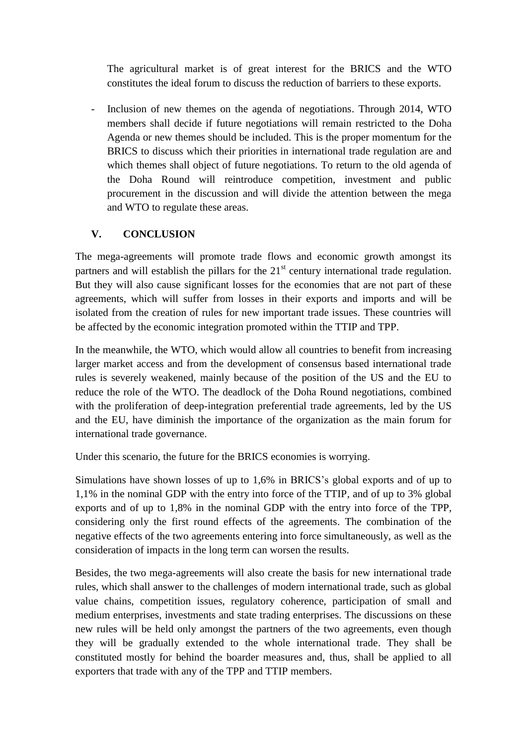The agricultural market is of great interest for the BRICS and the WTO constitutes the ideal forum to discuss the reduction of barriers to these exports.

Inclusion of new themes on the agenda of negotiations. Through 2014, WTO members shall decide if future negotiations will remain restricted to the Doha Agenda or new themes should be included. This is the proper momentum for the BRICS to discuss which their priorities in international trade regulation are and which themes shall object of future negotiations. To return to the old agenda of the Doha Round will reintroduce competition, investment and public procurement in the discussion and will divide the attention between the mega and WTO to regulate these areas.

### **V. CONCLUSION**

The mega-agreements will promote trade flows and economic growth amongst its partners and will establish the pillars for the  $21<sup>st</sup>$  century international trade regulation. But they will also cause significant losses for the economies that are not part of these agreements, which will suffer from losses in their exports and imports and will be isolated from the creation of rules for new important trade issues. These countries will be affected by the economic integration promoted within the TTIP and TPP.

In the meanwhile, the WTO, which would allow all countries to benefit from increasing larger market access and from the development of consensus based international trade rules is severely weakened, mainly because of the position of the US and the EU to reduce the role of the WTO. The deadlock of the Doha Round negotiations, combined with the proliferation of deep-integration preferential trade agreements, led by the US and the EU, have diminish the importance of the organization as the main forum for international trade governance.

Under this scenario, the future for the BRICS economies is worrying.

Simulations have shown losses of up to 1,6% in BRICS's global exports and of up to 1,1% in the nominal GDP with the entry into force of the TTIP, and of up to 3% global exports and of up to 1,8% in the nominal GDP with the entry into force of the TPP, considering only the first round effects of the agreements. The combination of the negative effects of the two agreements entering into force simultaneously, as well as the consideration of impacts in the long term can worsen the results.

Besides, the two mega-agreements will also create the basis for new international trade rules, which shall answer to the challenges of modern international trade, such as global value chains, competition issues, regulatory coherence, participation of small and medium enterprises, investments and state trading enterprises. The discussions on these new rules will be held only amongst the partners of the two agreements, even though they will be gradually extended to the whole international trade. They shall be constituted mostly for behind the boarder measures and, thus, shall be applied to all exporters that trade with any of the TPP and TTIP members.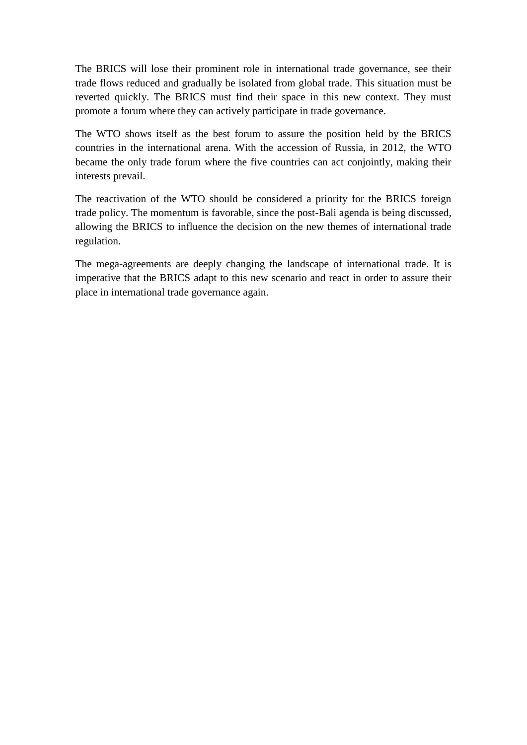The BRICS will lose their prominent role in international trade governance, see their trade flows reduced and gradually be isolated from global trade. This situation must be reverted quickly. The BRICS must find their space in this new context. They must promote a forum where they can actively participate in trade governance.

The WTO shows itself as the best forum to assure the position held by the BRICS countries in the international arena. With the accession of Russia, in 2012, the WTO became the only trade forum where the five countries can act conjointly, making their interests prevail.

The reactivation of the WTO should be considered a priority for the BRICS foreign trade policy. The momentum is favorable, since the post-Bali agenda is being discussed, allowing the BRICS to influence the decision on the new themes of international trade regulation.

The mega-agreements are deeply changing the landscape of international trade. It is imperative that the BRICS adapt to this new scenario and react in order to assure their place in international trade governance again.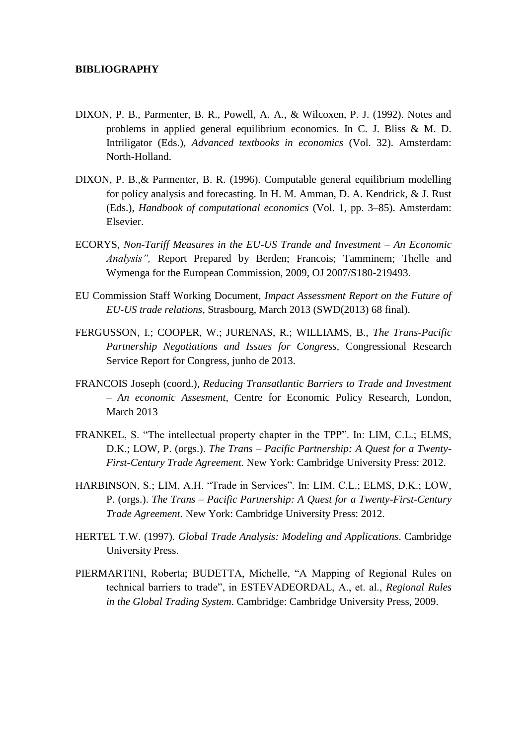#### **BIBLIOGRAPHY**

- DIXON, P. B., Parmenter, B. R., Powell, A. A., & Wilcoxen, P. J. (1992). Notes and problems in applied general equilibrium economics. In C. J. Bliss & M. D. Intriligator (Eds.), *Advanced textbooks in economics* (Vol. 32). Amsterdam: North-Holland.
- DIXON, P. B.,& Parmenter, B. R. (1996). Computable general equilibrium modelling for policy analysis and forecasting. In H. M. Amman, D. A. Kendrick, & J. Rust (Eds.), *Handbook of computational economics* (Vol. 1, pp. 3–85). Amsterdam: Elsevier.
- ECORYS, *Non-Tariff Measures in the EU-US Trande and Investment – An Economic Analysis",* Report Prepared by Berden; Francois; Tamminem; Thelle and Wymenga for the European Commission, 2009, OJ 2007/S180-219493.
- EU Commission Staff Working Document, *Impact Assessment Report on the Future of EU-US trade relations*, Strasbourg, March 2013 (SWD(2013) 68 final).
- FERGUSSON, I.; COOPER, W.; JURENAS, R.; WILLIAMS, B., *The Trans-Pacific Partnership Negotiations and Issues for Congress,* Congressional Research Service Report for Congress, junho de 2013.
- FRANCOIS Joseph (coord.), *Reducing Transatlantic Barriers to Trade and Investment – An economic Assesment*, Centre for Economic Policy Research, London, March 2013
- FRANKEL, S. "The intellectual property chapter in the TPP". In: LIM, C.L.; ELMS, D.K.; LOW, P. (orgs.). *The Trans – Pacific Partnership: A Quest for a Twenty-First-Century Trade Agreement*. New York: Cambridge University Press: 2012.
- HARBINSON, S.; LIM, A.H. "Trade in Services". In: LIM, C.L.; ELMS, D.K.; LOW, P. (orgs.). *The Trans – Pacific Partnership: A Quest for a Twenty-First-Century Trade Agreement*. New York: Cambridge University Press: 2012.
- HERTEL T.W. (1997). *Global Trade Analysis: Modeling and Applications*. Cambridge University Press.
- PIERMARTINI, Roberta; BUDETTA, Michelle, "A Mapping of Regional Rules on technical barriers to trade", in ESTEVADEORDAL, A., et. al., *Regional Rules in the Global Trading System*. Cambridge: Cambridge University Press, 2009.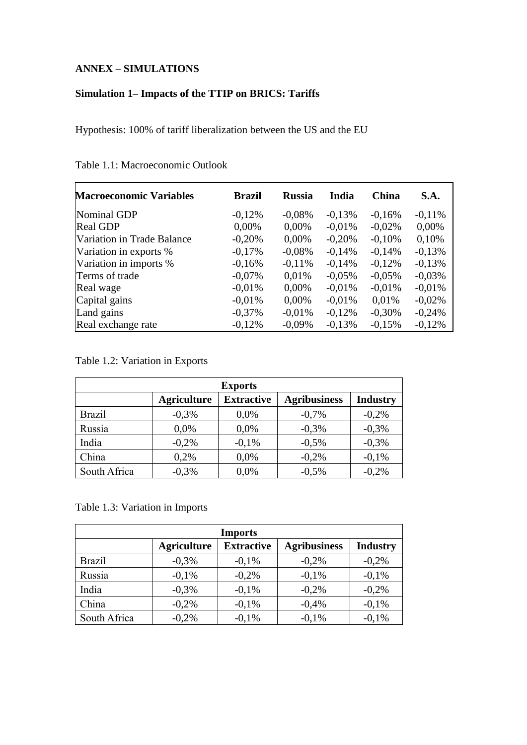#### **ANNEX – SIMULATIONS**

### **Simulation 1– Impacts of the TTIP on BRICS: Tariffs**

Hypothesis: 100% of tariff liberalization between the US and the EU

| <b>Macroeconomic Variables</b> | <b>Brazil</b> | <b>Russia</b> | India    | China     | S.A.     |
|--------------------------------|---------------|---------------|----------|-----------|----------|
| Nominal GDP                    | $-0,12%$      | $-0.08\%$     | $-0,13%$ | $-0,16%$  | $-0,11%$ |
| <b>Real GDP</b>                | 0,00%         | 0,00%         | $-0.01%$ | $-0,02%$  | 0,00%    |
| Variation in Trade Balance     | $-0,20%$      | 0,00%         | $-0,20%$ | $-0,10%$  | 0,10%    |
| Variation in exports %         | $-0,17%$      | $-0.08%$      | $-0,14%$ | $-0,14%$  | $-0,13%$ |
| Variation in imports %         | $-0,16%$      | $-0.11%$      | $-0,14%$ | $-0,12%$  | $-0,13%$ |
| Terms of trade                 | $-0.07\%$     | 0,01%         | $-0.05%$ | $-0.05\%$ | $-0.03%$ |
| Real wage                      | $-0.01%$      | 0,00%         | $-0.01%$ | $-0.01%$  | $-0.01%$ |
| Capital gains                  | $-0.01%$      | 0,00%         | $-0.01%$ | 0.01%     | $-0,02%$ |
| Land gains                     | $-0,37%$      | $-0.01%$      | $-0,12%$ | $-0,30%$  | $-0,24%$ |
| Real exchange rate             | $-0,12%$      | $-0,09\%$     | $-0,13%$ | $-0,15%$  | $-0,12%$ |

Table 1.1: Macroeconomic Outlook

Table 1.2: Variation in Exports

| <b>Exports</b> |                    |                   |                     |                 |  |  |  |
|----------------|--------------------|-------------------|---------------------|-----------------|--|--|--|
|                | <b>Agriculture</b> | <b>Extractive</b> | <b>Agribusiness</b> | <b>Industry</b> |  |  |  |
| <b>Brazil</b>  | $-0,3%$            | 0.0%              | $-0,7%$             | $-0,2%$         |  |  |  |
| Russia         | 0.0%               | 0,0%              | $-0,3%$             | $-0,3%$         |  |  |  |
| India          | $-0,2%$            | $-0.1\%$          | $-0,5%$             | $-0,3%$         |  |  |  |
| China          | 0,2%               | 0.0%              | $-0,2%$             | $-0.1%$         |  |  |  |
| South Africa   | $-0,3%$            | 0,0%              | $-0,5%$             | $-0,2%$         |  |  |  |

#### Table 1.3: Variation in Imports

| <b>Imports</b> |                    |                   |                     |                 |  |  |  |
|----------------|--------------------|-------------------|---------------------|-----------------|--|--|--|
|                | <b>Agriculture</b> | <b>Extractive</b> | <b>Agribusiness</b> | <b>Industry</b> |  |  |  |
| <b>Brazil</b>  | $-0,3%$            | $-0.1\%$          | $-0,2%$             | $-0,2%$         |  |  |  |
| Russia         | $-0.1\%$           | $-0,2%$           | $-0,1%$             | $-0.1\%$        |  |  |  |
| India          | $-0,3%$            | $-0.1\%$          | $-0,2%$             | $-0,2%$         |  |  |  |
| China          | $-0,2%$            | $-0.1\%$          | $-0,4%$             | $-0.1%$         |  |  |  |
| South Africa   | $-0,2%$            | $-0.1\%$          | $-0.1%$             | $-0.1%$         |  |  |  |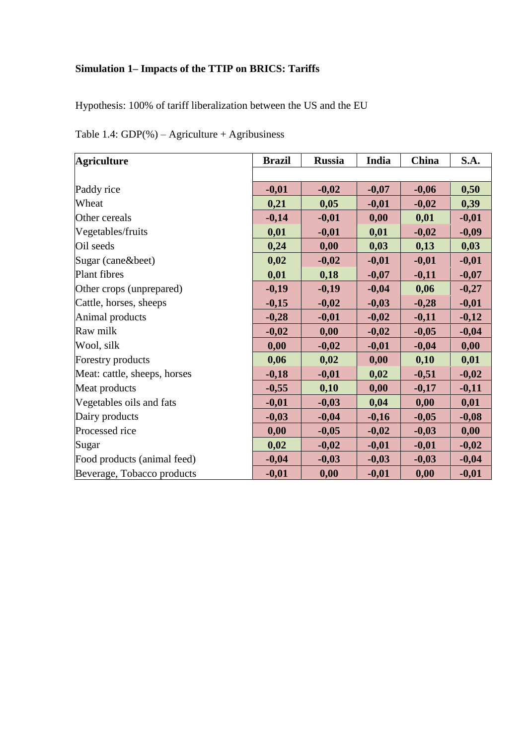# **Simulation 1– Impacts of the TTIP on BRICS: Tariffs**

Hypothesis: 100% of tariff liberalization between the US and the EU

| <b>Agriculture</b>           | <b>Brazil</b> | <b>Russia</b> | India   | China   | S.A.    |
|------------------------------|---------------|---------------|---------|---------|---------|
|                              |               |               |         |         |         |
| Paddy rice                   | $-0,01$       | $-0,02$       | $-0,07$ | $-0,06$ | 0,50    |
| Wheat                        | 0,21          | 0,05          | $-0,01$ | $-0,02$ | 0,39    |
| Other cereals                | $-0,14$       | $-0,01$       | 0,00    | 0,01    | $-0,01$ |
| Vegetables/fruits            | 0,01          | $-0,01$       | 0,01    | $-0,02$ | $-0,09$ |
| Oil seeds                    | 0,24          | 0,00          | 0,03    | 0,13    | 0,03    |
| Sugar (cane&beet)            | 0,02          | $-0,02$       | $-0,01$ | $-0,01$ | $-0,01$ |
| Plant fibres                 | 0,01          | 0,18          | $-0,07$ | $-0,11$ | $-0,07$ |
| Other crops (unprepared)     | $-0,19$       | $-0,19$       | $-0,04$ | 0,06    | $-0,27$ |
| Cattle, horses, sheeps       | $-0,15$       | $-0,02$       | $-0,03$ | $-0,28$ | $-0,01$ |
| Animal products              | $-0,28$       | $-0,01$       | $-0,02$ | $-0,11$ | $-0,12$ |
| Raw milk                     | $-0,02$       | 0,00          | $-0,02$ | $-0,05$ | $-0,04$ |
| Wool, silk                   | 0,00          | $-0,02$       | $-0,01$ | $-0,04$ | 0,00    |
| Forestry products            | 0,06          | 0,02          | 0,00    | 0,10    | 0,01    |
| Meat: cattle, sheeps, horses | $-0,18$       | $-0,01$       | 0,02    | $-0,51$ | $-0,02$ |
| Meat products                | $-0,55$       | 0,10          | 0,00    | $-0,17$ | $-0,11$ |
| Vegetables oils and fats     | $-0,01$       | $-0,03$       | 0,04    | 0,00    | 0,01    |
| Dairy products               | $-0,03$       | $-0,04$       | $-0,16$ | $-0,05$ | $-0,08$ |
| Processed rice               | 0,00          | $-0,05$       | $-0,02$ | $-0,03$ | 0,00    |
| Sugar                        | 0,02          | $-0,02$       | $-0,01$ | $-0,01$ | $-0,02$ |
| Food products (animal feed)  | $-0,04$       | $-0,03$       | $-0,03$ | $-0,03$ | $-0,04$ |
| Beverage, Tobacco products   | $-0,01$       | 0,00          | $-0,01$ | 0,00    | $-0,01$ |

Table 1.4:  $GDP(\%)$  – Agriculture + Agribusiness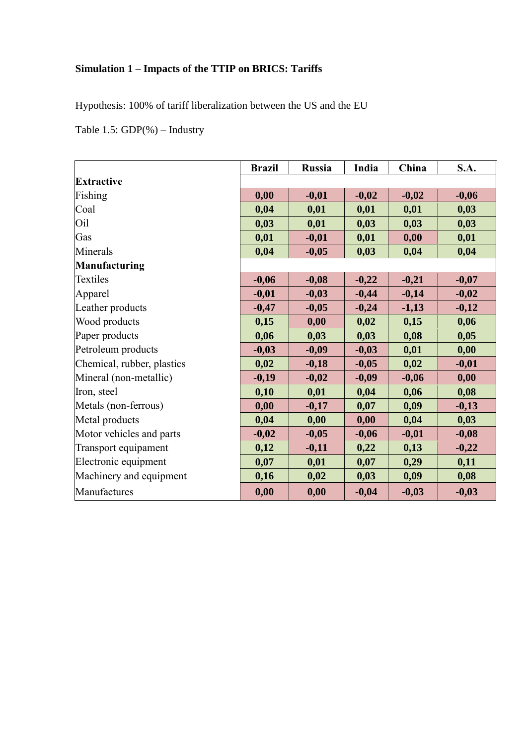# **Simulation 1 – Impacts of the TTIP on BRICS: Tariffs**

Hypothesis: 100% of tariff liberalization between the US and the EU

Table 1.5: GDP(%) – Industry

|                            | <b>Brazil</b> | <b>Russia</b> | India   | China   | S.A.    |
|----------------------------|---------------|---------------|---------|---------|---------|
| <b>Extractive</b>          |               |               |         |         |         |
| Fishing                    | 0,00          | $-0,01$       | $-0,02$ | $-0,02$ | $-0,06$ |
| Coal                       | 0,04          | 0,01          | 0,01    | 0,01    | 0,03    |
| Oil                        | 0,03          | 0,01          | 0,03    | 0,03    | 0,03    |
| Gas                        | 0,01          | $-0,01$       | 0,01    | 0,00    | 0,01    |
| Minerals                   | 0,04          | $-0,05$       | 0,03    | 0,04    | 0,04    |
| <b>Manufacturing</b>       |               |               |         |         |         |
| Textiles                   | $-0,06$       | $-0,08$       | $-0,22$ | $-0,21$ | $-0,07$ |
| Apparel                    | $-0,01$       | $-0,03$       | $-0,44$ | $-0,14$ | $-0,02$ |
| Leather products           | $-0,47$       | $-0,05$       | $-0,24$ | $-1,13$ | $-0,12$ |
| Wood products              | 0,15          | 0,00          | 0,02    | 0,15    | 0,06    |
| Paper products             | 0,06          | 0,03          | 0,03    | 0,08    | 0,05    |
| Petroleum products         | $-0,03$       | $-0,09$       | $-0,03$ | 0,01    | 0,00    |
| Chemical, rubber, plastics | 0,02          | $-0,18$       | $-0,05$ | 0,02    | $-0,01$ |
| Mineral (non-metallic)     | $-0,19$       | $-0,02$       | $-0,09$ | $-0,06$ | 0,00    |
| Iron, steel                | 0,10          | 0,01          | 0,04    | 0,06    | 0,08    |
| Metals (non-ferrous)       | 0,00          | $-0,17$       | 0,07    | 0,09    | $-0,13$ |
| Metal products             | 0,04          | 0,00          | 0,00    | 0,04    | 0,03    |
| Motor vehicles and parts   | $-0,02$       | $-0,05$       | $-0,06$ | $-0,01$ | $-0,08$ |
| Transport equipament       | 0,12          | $-0,11$       | 0,22    | 0,13    | $-0,22$ |
| Electronic equipment       | 0,07          | 0,01          | 0,07    | 0,29    | 0,11    |
| Machinery and equipment    | 0,16          | 0,02          | 0,03    | 0,09    | 0,08    |
| Manufactures               | 0,00          | 0,00          | $-0,04$ | $-0,03$ | $-0,03$ |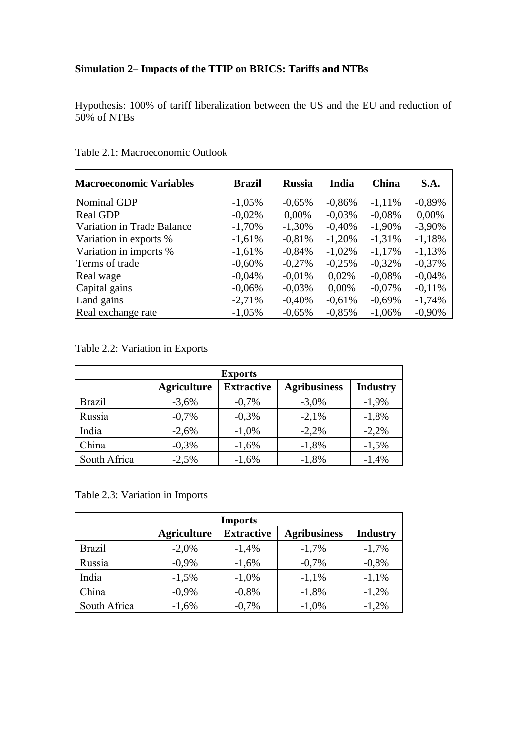# **Simulation 2– Impacts of the TTIP on BRICS: Tariffs and NTBs**

Hypothesis: 100% of tariff liberalization between the US and the EU and reduction of 50% of NTBs

| <b>Macroeconomic Variables</b> | <b>Brazil</b> | <b>Russia</b> | India     | <b>China</b> | S.A.      |
|--------------------------------|---------------|---------------|-----------|--------------|-----------|
| Nominal GDP                    | $-1,05%$      | $-0.65%$      | $-0,86%$  | $-1,11\%$    | $-0,89%$  |
| <b>Real GDP</b>                | $-0.02%$      | 0,00%         | $-0.03\%$ | $-0.08%$     | $0,00\%$  |
| Variation in Trade Balance     | $-1,70%$      | $-1,30%$      | $-0,40%$  | $-1,90\%$    | $-3,90\%$ |
| Variation in exports %         | $-1,61%$      | $-0.81%$      | $-1,20%$  | $-1,31%$     | $-1,18%$  |
| Variation in imports %         | $-1,61%$      | $-0,84%$      | $-1,02\%$ | $-1,17\%$    | $-1,13%$  |
| Terms of trade                 | $-0,60%$      | $-0.27%$      | $-0.25%$  | $-0.32\%$    | $-0,37%$  |
| Real wage                      | $-0,04%$      | $-0.01\%$     | 0.02%     | $-0.08%$     | $-0.04\%$ |
| Capital gains                  | $-0.06%$      | $-0.03\%$     | $0,00\%$  | $-0.07\%$    | $-0.11%$  |
| Land gains                     | $-2,71%$      | $-0.40%$      | $-0.61%$  | $-0.69%$     | $-1,74%$  |
| Real exchange rate             | $-1,05%$      | $-0.65%$      | $-0.85%$  | $-1,06%$     | $-0.90\%$ |

Table 2.1: Macroeconomic Outlook

Table 2.2: Variation in Exports

| <b>Exports</b> |                    |                   |                     |                 |  |  |  |
|----------------|--------------------|-------------------|---------------------|-----------------|--|--|--|
|                | <b>Agriculture</b> | <b>Extractive</b> | <b>Agribusiness</b> | <b>Industry</b> |  |  |  |
| <b>Brazil</b>  | $-3,6%$            | $-0,7%$           | $-3,0\%$            | $-1,9%$         |  |  |  |
| Russia         | $-0,7%$            | $-0,3%$           | $-2,1%$             | $-1,8%$         |  |  |  |
| India          | $-2,6%$            | $-1,0\%$          | $-2,2%$             | $-2,2%$         |  |  |  |
| China          | $-0,3%$            | $-1,6%$           | $-1,8%$             | $-1,5%$         |  |  |  |
| South Africa   | $-2,5%$            | $-1,6%$           | $-1,8%$             | $-1,4%$         |  |  |  |

Table 2.3: Variation in Imports

| <b>Imports</b> |                    |                   |                     |                 |  |  |  |  |
|----------------|--------------------|-------------------|---------------------|-----------------|--|--|--|--|
|                | <b>Agriculture</b> | <b>Extractive</b> | <b>Agribusiness</b> | <b>Industry</b> |  |  |  |  |
| <b>Brazil</b>  | $-2,0%$            | $-1,4%$           | $-1,7%$             | $-1,7%$         |  |  |  |  |
| Russia         | $-0.9\%$           | $-1,6%$           | $-0,7%$             | $-0,8%$         |  |  |  |  |
| India          | $-1,5%$            | $-1,0\%$          | $-1,1%$             | $-1,1%$         |  |  |  |  |
| China          | $-0.9\%$           | $-0,8%$           | $-1,8%$             | $-1,2%$         |  |  |  |  |
| South Africa   | $-1,6%$            | $-0,7%$           | $-1,0\%$            | $-1,2%$         |  |  |  |  |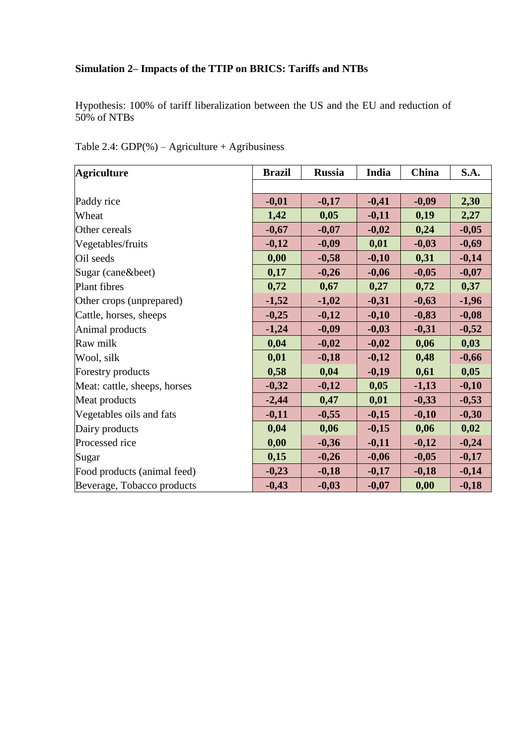# **Simulation 2– Impacts of the TTIP on BRICS: Tariffs and NTBs**

Hypothesis: 100% of tariff liberalization between the US and the EU and reduction of 50% of NTBs

| <b>Agriculture</b>           | <b>Brazil</b> | <b>Russia</b> | India   | China   | S.A.    |
|------------------------------|---------------|---------------|---------|---------|---------|
|                              |               |               |         |         |         |
| Paddy rice                   | $-0,01$       | $-0,17$       | $-0,41$ | $-0,09$ | 2,30    |
| Wheat                        | 1,42          | 0,05          | $-0,11$ | 0,19    | 2,27    |
| Other cereals                | $-0,67$       | $-0,07$       | $-0,02$ | 0,24    | $-0,05$ |
| Vegetables/fruits            | $-0,12$       | $-0,09$       | 0,01    | $-0,03$ | $-0,69$ |
| Oil seeds                    | 0,00          | $-0,58$       | $-0,10$ | 0,31    | $-0,14$ |
| Sugar (cane&beet)            | 0,17          | $-0,26$       | $-0,06$ | $-0,05$ | $-0,07$ |
| Plant fibres                 | 0,72          | 0,67          | 0,27    | 0,72    | 0,37    |
| Other crops (unprepared)     | $-1,52$       | $-1,02$       | $-0,31$ | $-0,63$ | $-1,96$ |
| Cattle, horses, sheeps       | $-0,25$       | $-0,12$       | $-0,10$ | $-0,83$ | $-0,08$ |
| Animal products              | $-1,24$       | $-0,09$       | $-0,03$ | $-0,31$ | $-0,52$ |
| Raw milk                     | 0,04          | $-0,02$       | $-0,02$ | 0,06    | 0,03    |
| Wool, silk                   | 0,01          | $-0,18$       | $-0,12$ | 0,48    | $-0,66$ |
| Forestry products            | 0,58          | 0,04          | $-0,19$ | 0,61    | 0,05    |
| Meat: cattle, sheeps, horses | $-0,32$       | $-0,12$       | 0,05    | $-1,13$ | $-0,10$ |
| Meat products                | $-2,44$       | 0,47          | 0,01    | $-0,33$ | $-0,53$ |
| Vegetables oils and fats     | $-0,11$       | $-0,55$       | $-0,15$ | $-0,10$ | $-0,30$ |
| Dairy products               | 0,04          | 0,06          | $-0,15$ | 0,06    | 0,02    |
| Processed rice               | 0,00          | $-0,36$       | $-0,11$ | $-0,12$ | $-0,24$ |
| Sugar                        | 0,15          | $-0,26$       | $-0,06$ | $-0,05$ | $-0,17$ |
| Food products (animal feed)  | $-0,23$       | $-0,18$       | $-0,17$ | $-0,18$ | $-0,14$ |
| Beverage, Tobacco products   | $-0,43$       | $-0,03$       | $-0,07$ | 0,00    | $-0,18$ |

Table 2.4:  $GDP(\%)$  – Agriculture + Agribusiness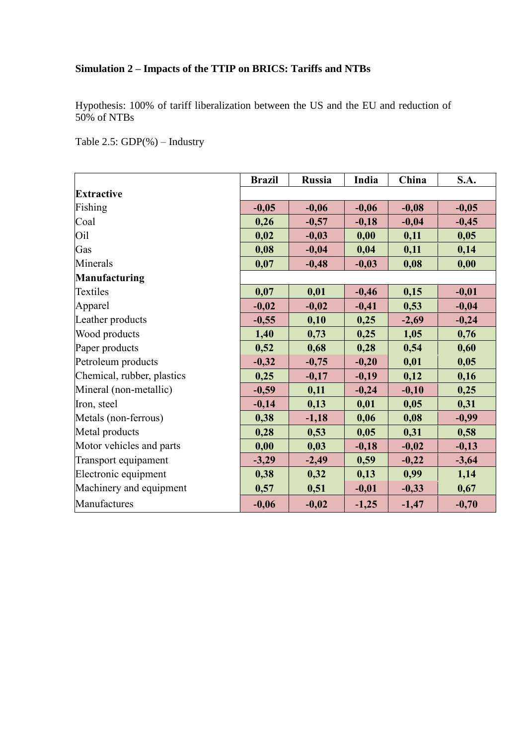# **Simulation 2 – Impacts of the TTIP on BRICS: Tariffs and NTBs**

Hypothesis: 100% of tariff liberalization between the US and the EU and reduction of 50% of NTBs

Table 2.5: GDP(%) – Industry

|                            | <b>Brazil</b> | <b>Russia</b> | India   | China   | <b>S.A.</b> |
|----------------------------|---------------|---------------|---------|---------|-------------|
| <b>Extractive</b>          |               |               |         |         |             |
| Fishing                    | $-0,05$       | $-0,06$       | $-0,06$ | $-0,08$ | $-0,05$     |
| Coal                       | 0,26          | $-0,57$       | $-0,18$ | $-0,04$ | $-0,45$     |
| O <sub>il</sub>            | 0,02          | $-0,03$       | 0,00    | 0,11    | 0,05        |
| Gas                        | 0,08          | $-0,04$       | 0,04    | 0,11    | 0,14        |
| Minerals                   | 0,07          | $-0,48$       | $-0,03$ | 0,08    | 0,00        |
| Manufacturing              |               |               |         |         |             |
| Textiles                   | 0,07          | 0,01          | $-0,46$ | 0,15    | $-0,01$     |
| Apparel                    | $-0,02$       | $-0,02$       | $-0,41$ | 0,53    | $-0,04$     |
| Leather products           | $-0,55$       | 0,10          | 0,25    | $-2,69$ | $-0,24$     |
| Wood products              | 1,40          | 0,73          | 0,25    | 1,05    | 0,76        |
| Paper products             | 0,52          | 0,68          | 0,28    | 0,54    | 0,60        |
| Petroleum products         | $-0,32$       | $-0,75$       | $-0,20$ | 0,01    | 0,05        |
| Chemical, rubber, plastics | 0,25          | $-0,17$       | $-0,19$ | 0,12    | 0,16        |
| Mineral (non-metallic)     | $-0,59$       | 0,11          | $-0,24$ | $-0,10$ | 0,25        |
| Iron, steel                | $-0,14$       | 0,13          | 0,01    | 0,05    | 0,31        |
| Metals (non-ferrous)       | 0,38          | $-1,18$       | 0,06    | 0,08    | $-0,99$     |
| Metal products             | 0,28          | 0,53          | 0,05    | 0,31    | 0,58        |
| Motor vehicles and parts   | 0,00          | 0,03          | $-0,18$ | $-0,02$ | $-0,13$     |
| Transport equipament       | $-3,29$       | $-2,49$       | 0,59    | $-0,22$ | $-3,64$     |
| Electronic equipment       | 0,38          | 0,32          | 0,13    | 0,99    | 1,14        |
| Machinery and equipment    | 0,57          | 0,51          | $-0,01$ | $-0,33$ | 0,67        |
| Manufactures               | $-0,06$       | $-0,02$       | $-1,25$ | $-1,47$ | $-0,70$     |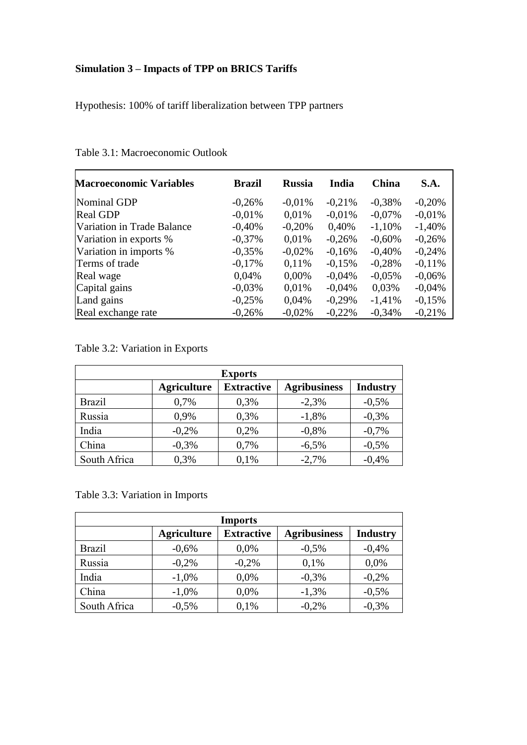# **Simulation 3 – Impacts of TPP on BRICS Tariffs**

Hypothesis: 100% of tariff liberalization between TPP partners

| <b>Macroeconomic Variables</b> | <b>Brazil</b> | <b>Russia</b> | India     | <b>China</b> | S.A.     |
|--------------------------------|---------------|---------------|-----------|--------------|----------|
| Nominal GDP                    | $-0,26%$      | $-0.01%$      | $-0.21%$  | $-0,38%$     | $-0,20%$ |
| <b>Real GDP</b>                | $-0.01%$      | 0,01%         | $-0.01%$  | $-0.07\%$    | $-0.01%$ |
| Variation in Trade Balance     | $-0,40%$      | $-0.20%$      | 0,40%     | $-1,10%$     | $-1,40%$ |
| Variation in exports %         | $-0,37%$      | 0.01%         | $-0,26%$  | $-0.60%$     | $-0,26%$ |
| Variation in imports %         | $-0,35%$      | $-0.02%$      | $-0,16%$  | $-0,40%$     | $-0,24%$ |
| Terms of trade                 | $-0,17%$      | 0.11%         | $-0.15%$  | $-0.28%$     | $-0.11%$ |
| Real wage                      | 0,04%         | 0,00%         | $-0.04\%$ | $-0.05\%$    | $-0,06%$ |
| Capital gains                  | $-0.03%$      | 0.01%         | $-0.04\%$ | 0.03%        | $-0.04%$ |
| Land gains                     | $-0,25%$      | 0.04%         | $-0,29%$  | $-1,41%$     | $-0,15%$ |
| Real exchange rate             | $-0.26%$      | $-0.02%$      | $-0.22%$  | $-0.34%$     | $-0.21%$ |

Table 3.1: Macroeconomic Outlook

Table 3.2: Variation in Exports

| <b>Exports</b> |                    |                   |                     |                 |  |  |  |
|----------------|--------------------|-------------------|---------------------|-----------------|--|--|--|
|                | <b>Agriculture</b> | <b>Extractive</b> | <b>Agribusiness</b> | <b>Industry</b> |  |  |  |
| <b>Brazil</b>  | 0,7%               | 0,3%              | $-2,3%$             | $-0,5%$         |  |  |  |
| Russia         | 0,9%               | 0,3%              | $-1,8%$             | $-0,3%$         |  |  |  |
| India          | $-0,2%$            | 0.2%              | $-0,8%$             | $-0,7%$         |  |  |  |
| China          | $-0,3%$            | 0,7%              | $-6,5%$             | $-0,5%$         |  |  |  |
| South Africa   | 0,3%               | 0,1%              | $-2,7%$             | $-0,4%$         |  |  |  |

Table 3.3: Variation in Imports

| <b>Imports</b> |                    |                   |                     |                 |  |  |
|----------------|--------------------|-------------------|---------------------|-----------------|--|--|
|                | <b>Agriculture</b> | <b>Extractive</b> | <b>Agribusiness</b> | <b>Industry</b> |  |  |
| <b>Brazil</b>  | $-0.6%$            | 0.0%              | $-0,5%$             | $-0,4%$         |  |  |
| Russia         | $-0,2%$            | $-0,2%$           | 0,1%                | 0,0%            |  |  |
| India          | $-1,0\%$           | 0,0%              | $-0,3%$             | $-0,2%$         |  |  |
| China          | $-1,0\%$           | 0,0%              | $-1,3%$             | $-0,5%$         |  |  |
| South Africa   | $-0,5%$            | 0,1%              | $-0,2%$             | $-0,3%$         |  |  |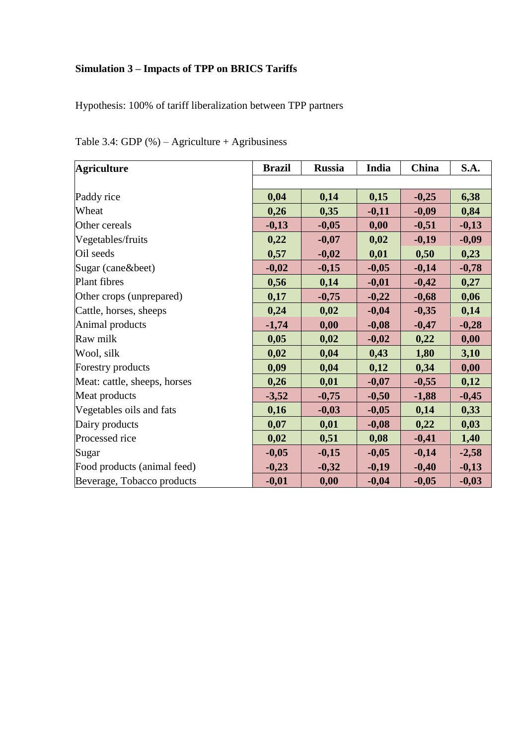# **Simulation 3 – Impacts of TPP on BRICS Tariffs**

Hypothesis: 100% of tariff liberalization between TPP partners

| <b>Agriculture</b>           | <b>Brazil</b> | <b>Russia</b> | India   | China   | <b>S.A.</b> |
|------------------------------|---------------|---------------|---------|---------|-------------|
|                              |               |               |         |         |             |
| Paddy rice                   | 0,04          | 0,14          | 0,15    | $-0,25$ | 6,38        |
| Wheat                        | 0,26          | 0,35          | $-0,11$ | $-0,09$ | 0,84        |
| Other cereals                | $-0,13$       | $-0,05$       | 0,00    | $-0,51$ | $-0,13$     |
| Vegetables/fruits            | 0,22          | $-0,07$       | 0,02    | $-0,19$ | $-0,09$     |
| Oil seeds                    | 0,57          | $-0,02$       | 0,01    | 0,50    | 0,23        |
| Sugar (cane&beet)            | $-0,02$       | $-0,15$       | $-0,05$ | $-0,14$ | $-0,78$     |
| Plant fibres                 | 0,56          | 0,14          | $-0,01$ | $-0,42$ | 0,27        |
| Other crops (unprepared)     | 0,17          | $-0,75$       | $-0,22$ | $-0,68$ | 0,06        |
| Cattle, horses, sheeps       | 0,24          | 0,02          | $-0,04$ | $-0,35$ | 0,14        |
| Animal products              | $-1,74$       | 0,00          | $-0,08$ | $-0,47$ | $-0,28$     |
| Raw milk                     | 0,05          | 0,02          | $-0,02$ | 0,22    | 0,00        |
| Wool, silk                   | 0,02          | 0,04          | 0,43    | 1,80    | 3,10        |
| Forestry products            | 0,09          | 0,04          | 0,12    | 0,34    | 0,00        |
| Meat: cattle, sheeps, horses | 0,26          | 0,01          | $-0,07$ | $-0,55$ | 0,12        |
| Meat products                | $-3,52$       | $-0,75$       | $-0,50$ | $-1,88$ | $-0,45$     |
| Vegetables oils and fats     | 0,16          | $-0,03$       | $-0,05$ | 0,14    | 0,33        |
| Dairy products               | 0,07          | 0,01          | $-0,08$ | 0,22    | 0,03        |
| Processed rice               | 0,02          | 0,51          | 0,08    | $-0,41$ | 1,40        |
| Sugar                        | $-0,05$       | $-0,15$       | $-0,05$ | $-0,14$ | $-2,58$     |
| Food products (animal feed)  | $-0,23$       | $-0,32$       | $-0,19$ | $-0,40$ | $-0,13$     |
| Beverage, Tobacco products   | $-0,01$       | 0,00          | $-0,04$ | $-0,05$ | $-0,03$     |

Table 3.4: GDP (%) – Agriculture + Agribusiness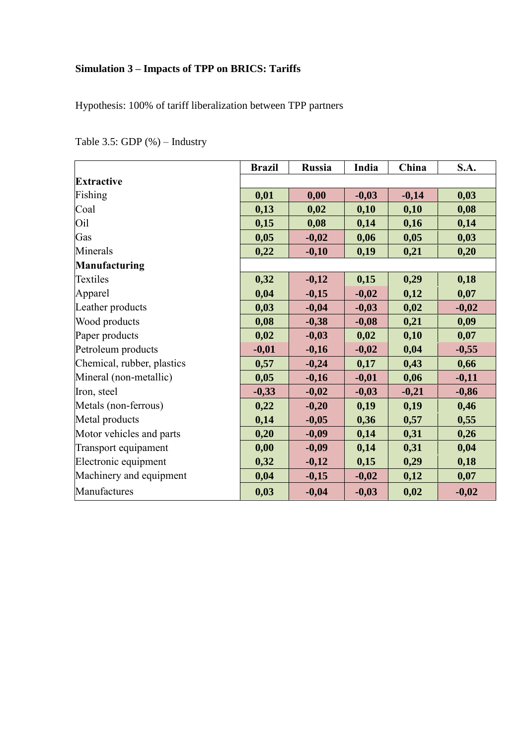# **Simulation 3 – Impacts of TPP on BRICS: Tariffs**

Hypothesis: 100% of tariff liberalization between TPP partners

|                            | <b>Brazil</b> | <b>Russia</b> | India   | China   | <b>S.A.</b> |
|----------------------------|---------------|---------------|---------|---------|-------------|
| <b>Extractive</b>          |               |               |         |         |             |
| Fishing                    | 0,01          | 0,00          | $-0,03$ | $-0,14$ | 0,03        |
| Coal                       | 0,13          | 0,02          | 0,10    | 0,10    | 0,08        |
| Oil                        | 0,15          | 0,08          | 0,14    | 0,16    | 0,14        |
| Gas                        | 0,05          | $-0,02$       | 0,06    | 0,05    | 0,03        |
| Minerals                   | 0,22          | $-0,10$       | 0,19    | 0,21    | 0,20        |
| <b>Manufacturing</b>       |               |               |         |         |             |
| Textiles                   | 0,32          | $-0,12$       | 0,15    | 0,29    | 0,18        |
| Apparel                    | 0,04          | $-0,15$       | $-0,02$ | 0,12    | 0,07        |
| Leather products           | 0,03          | $-0,04$       | $-0,03$ | 0,02    | $-0,02$     |
| Wood products              | 0,08          | $-0,38$       | $-0,08$ | 0,21    | 0,09        |
| Paper products             | 0,02          | $-0,03$       | 0,02    | 0,10    | 0,07        |
| Petroleum products         | $-0,01$       | $-0,16$       | $-0,02$ | 0,04    | $-0,55$     |
| Chemical, rubber, plastics | 0,57          | $-0,24$       | 0,17    | 0,43    | 0,66        |
| Mineral (non-metallic)     | 0,05          | $-0,16$       | $-0,01$ | 0,06    | $-0,11$     |
| Iron, steel                | $-0,33$       | $-0,02$       | $-0,03$ | $-0,21$ | $-0,86$     |
| Metals (non-ferrous)       | 0,22          | $-0,20$       | 0,19    | 0,19    | 0,46        |
| Metal products             | 0,14          | $-0,05$       | 0,36    | 0,57    | 0,55        |
| Motor vehicles and parts   | 0,20          | $-0,09$       | 0,14    | 0,31    | 0,26        |
| Transport equipament       | 0,00          | $-0,09$       | 0,14    | 0,31    | 0,04        |
| Electronic equipment       | 0,32          | $-0,12$       | 0,15    | 0,29    | 0,18        |
| Machinery and equipment    | 0,04          | $-0,15$       | $-0,02$ | 0,12    | 0,07        |
| Manufactures               | 0,03          | $-0,04$       | $-0,03$ | 0,02    | $-0,02$     |

Table 3.5: GDP (%) – Industry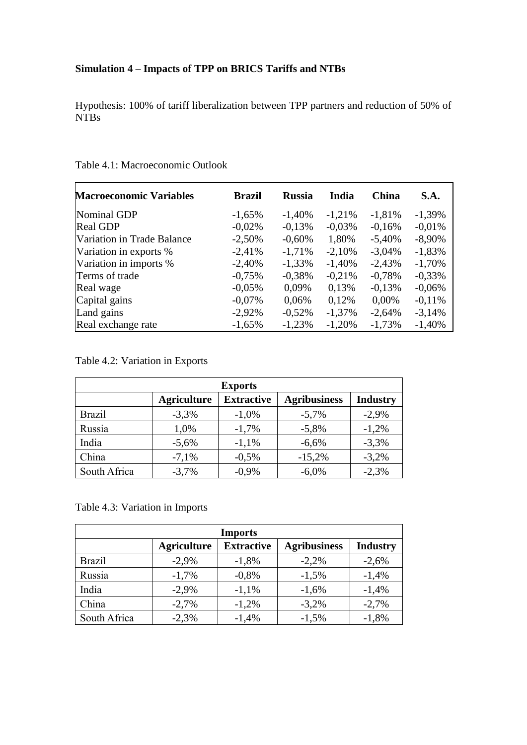# **Simulation 4 – Impacts of TPP on BRICS Tariffs and NTBs**

Hypothesis: 100% of tariff liberalization between TPP partners and reduction of 50% of NTBs

| <b>Macroeconomic Variables</b> | <b>Brazil</b> | <b>Russia</b> | India    | <b>China</b> | <b>S.A.</b> |
|--------------------------------|---------------|---------------|----------|--------------|-------------|
| Nominal GDP                    | $-1,65%$      | $-1,40%$      | $-1,21%$ | $-1,81%$     | $-1,39%$    |
| <b>Real GDP</b>                | $-0.02%$      | $-0,13%$      | $-0.03%$ | $-0.16%$     | $-0.01%$    |
| Variation in Trade Balance     | $-2,50%$      | $-0,60%$      | 1,80%    | $-5,40%$     | $-8,90%$    |
| Variation in exports %         | $-2,41%$      | $-1,71%$      | $-2,10%$ | $-3,04%$     | $-1,83%$    |
| Variation in imports %         | $-2,40%$      | $-1,33\%$     | $-1,40%$ | $-2,43%$     | $-1,70%$    |
| Terms of trade                 | $-0,75%$      | $-0,38%$      | $-0,21%$ | $-0,78%$     | $-0,33%$    |
| Real wage                      | $-0.05%$      | 0,09%         | 0.13%    | $-0.13%$     | $-0,06%$    |
| Capital gains                  | $-0.07\%$     | 0,06%         | 0,12%    | $0,00\%$     | $-0.11%$    |
| Land gains                     | $-2,92%$      | $-0.52\%$     | $-1,37%$ | $-2,64%$     | $-3,14%$    |
| Real exchange rate             | $-1,65%$      | $-1,23%$      | $-1,20%$ | $-1,73%$     | $-1,40%$    |

### Table 4.1: Macroeconomic Outlook

Table 4.2: Variation in Exports

| <b>Exports</b> |                    |                   |                     |                 |  |  |  |
|----------------|--------------------|-------------------|---------------------|-----------------|--|--|--|
|                | <b>Agriculture</b> | <b>Extractive</b> | <b>Agribusiness</b> | <b>Industry</b> |  |  |  |
| <b>Brazil</b>  | $-3,3%$            | $-1,0\%$          | $-5,7%$             | $-2,9%$         |  |  |  |
| Russia         | 1,0%               | $-1,7%$           | $-5,8%$             | $-1,2%$         |  |  |  |
| India          | $-5,6%$            | $-1,1%$           | $-6,6%$             | $-3,3%$         |  |  |  |
| China          | $-7,1%$            | $-0.5\%$          | $-15,2%$            | $-3,2%$         |  |  |  |
| South Africa   | $-3,7%$            | $-0.9%$           | $-6,0\%$            | $-2,3%$         |  |  |  |

#### Table 4.3: Variation in Imports

| <b>Imports</b> |                    |                   |                     |                 |  |  |  |
|----------------|--------------------|-------------------|---------------------|-----------------|--|--|--|
|                | <b>Agriculture</b> | <b>Extractive</b> | <b>Agribusiness</b> | <b>Industry</b> |  |  |  |
| <b>Brazil</b>  | $-2,9%$            | $-1,8%$           | $-2,2%$             | $-2,6%$         |  |  |  |
| Russia         | $-1,7%$            | $-0.8\%$          | $-1,5%$             | $-1,4%$         |  |  |  |
| India          | $-2,9%$            | $-1,1%$           | $-1,6%$             | $-1,4%$         |  |  |  |
| China          | $-2,7%$            | $-1,2%$           | $-3,2%$             | $-2,7%$         |  |  |  |
| South Africa   | $-2,3%$            | $-1,4%$           | $-1,5%$             | $-1,8%$         |  |  |  |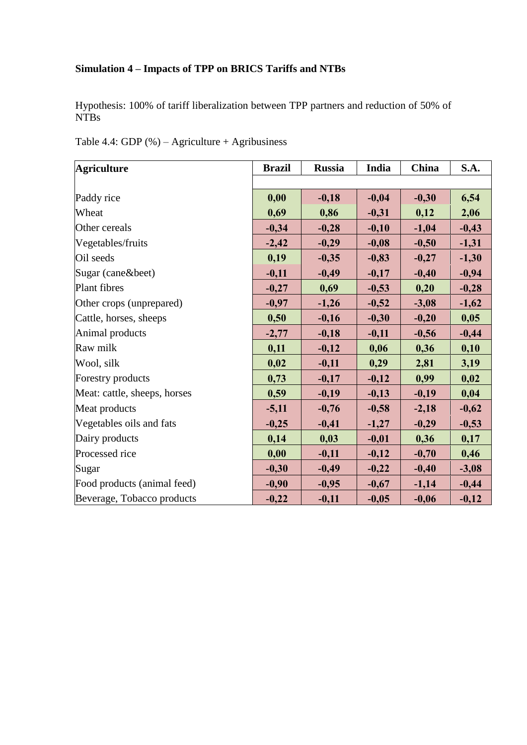# **Simulation 4 – Impacts of TPP on BRICS Tariffs and NTBs**

Hypothesis: 100% of tariff liberalization between TPP partners and reduction of 50% of NTBs

| <b>Agriculture</b>           | <b>Brazil</b> | <b>Russia</b> | India   | China   | S.A.    |
|------------------------------|---------------|---------------|---------|---------|---------|
|                              |               |               |         |         |         |
| Paddy rice                   | 0,00          | $-0,18$       | $-0,04$ | $-0,30$ | 6,54    |
| Wheat                        | 0,69          | 0,86          | $-0,31$ | 0,12    | 2,06    |
| Other cereals                | $-0,34$       | $-0,28$       | $-0,10$ | $-1,04$ | $-0,43$ |
| Vegetables/fruits            | $-2,42$       | $-0,29$       | $-0,08$ | $-0,50$ | $-1,31$ |
| Oil seeds                    | 0,19          | $-0,35$       | $-0,83$ | $-0,27$ | $-1,30$ |
| Sugar (cane&beet)            | $-0,11$       | $-0,49$       | $-0,17$ | $-0,40$ | $-0,94$ |
| Plant fibres                 | $-0,27$       | 0,69          | $-0,53$ | 0,20    | $-0,28$ |
| Other crops (unprepared)     | $-0,97$       | $-1,26$       | $-0,52$ | $-3,08$ | $-1,62$ |
| Cattle, horses, sheeps       | 0,50          | $-0,16$       | $-0,30$ | $-0,20$ | 0,05    |
| Animal products              | $-2,77$       | $-0,18$       | $-0,11$ | $-0,56$ | $-0,44$ |
| Raw milk                     | 0,11          | $-0,12$       | 0,06    | 0,36    | 0,10    |
| Wool, silk                   | 0,02          | $-0,11$       | 0,29    | 2,81    | 3,19    |
| Forestry products            | 0,73          | $-0,17$       | $-0,12$ | 0,99    | 0,02    |
| Meat: cattle, sheeps, horses | 0,59          | $-0,19$       | $-0,13$ | $-0,19$ | 0,04    |
| Meat products                | $-5,11$       | $-0,76$       | $-0,58$ | $-2,18$ | $-0,62$ |
| Vegetables oils and fats     | $-0,25$       | $-0,41$       | $-1,27$ | $-0,29$ | $-0,53$ |
| Dairy products               | 0,14          | 0,03          | $-0,01$ | 0,36    | 0,17    |
| Processed rice               | 0,00          | $-0,11$       | $-0,12$ | $-0,70$ | 0,46    |
| Sugar                        | $-0,30$       | $-0,49$       | $-0,22$ | $-0,40$ | $-3,08$ |
| Food products (animal feed)  | $-0,90$       | $-0,95$       | $-0,67$ | $-1,14$ | $-0,44$ |
| Beverage, Tobacco products   | $-0,22$       | $-0,11$       | $-0,05$ | $-0,06$ | $-0,12$ |

Table 4.4: GDP  $%$  – Agriculture + Agribusiness